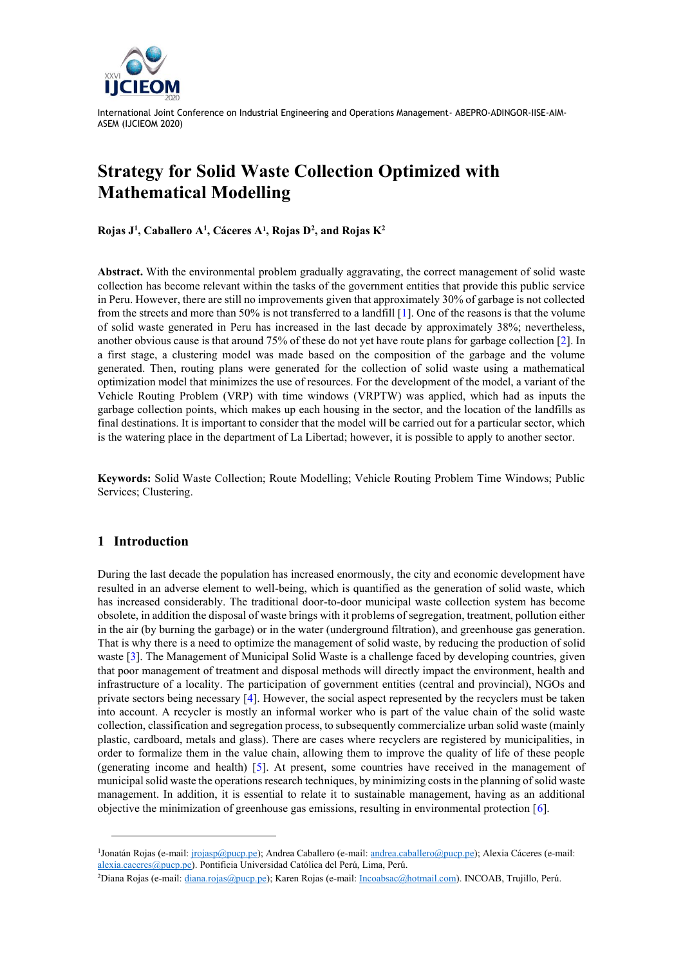

# **Strategy for Solid Waste Collection Optimized with Mathematical Modelling**

**Rojas J 1 , Caballero A<sup>1</sup> , Cáceres A<sup>1</sup> , Rojas D<sup>2</sup> , and Rojas K<sup>2</sup>**

**Abstract.** With the environmental problem gradually aggravating, the correct management of solid waste collection has become relevant within the tasks of the government entities that provide this public service in Peru. However, there are still no improvements given that approximately 30% of garbage is not collected from the streets and more than 50% is not transferred to a landfill [1]. One of the reasons is that the volume of solid waste generated in Peru has increased in the last decade by approximately 38%; nevertheless, another obvious cause is that around 75% of these do not yet have route plans for garbage collection [2]. In a first stage, a clustering model was made based on the composition of the garbage and the volume generated. Then, routing plans were generated for the collection of solid waste using a mathematical optimization model that minimizes the use of resources. For the development of the model, a variant of the Vehicle Routing Problem (VRP) with time windows (VRPTW) was applied, which had as inputs the garbage collection points, which makes up each housing in the sector, and the location of the landfills as final destinations. It is important to consider that the model will be carried out for a particular sector, which is the watering place in the department of La Libertad; however, it is possible to apply to another sector.

**Keywords:** Solid Waste Collection; Route Modelling; Vehicle Routing Problem Time Windows; Public Services; Clustering.

## **1 Introduction**

During the last decade the population has increased enormously, the city and economic development have resulted in an adverse element to well-being, which is quantified as the generation of solid waste, which has increased considerably. The traditional door-to-door municipal waste collection system has become obsolete, in addition the disposal of waste brings with it problems of segregation, treatment, pollution either in the air (by burning the garbage) or in the water (underground filtration), and greenhouse gas generation. That is why there is a need to optimize the management of solid waste, by reducing the production of solid waste [3]. The Management of Municipal Solid Waste is a challenge faced by developing countries, given that poor management of treatment and disposal methods will directly impact the environment, health and infrastructure of a locality. The participation of government entities (central and provincial), NGOs and private sectors being necessary [4]. However, the social aspect represented by the recyclers must be taken into account. A recycler is mostly an informal worker who is part of the value chain of the solid waste collection, classification and segregation process, to subsequently commercialize urban solid waste (mainly plastic, cardboard, metals and glass). There are cases where recyclers are registered by municipalities, in order to formalize them in the value chain, allowing them to improve the quality of life of these people (generating income and health) [5]. At present, some countries have received in the management of municipal solid waste the operations research techniques, by minimizing costs in the planning of solid waste management. In addition, it is essential to relate it to sustainable management, having as an additional objective the minimization of greenhouse gas emissions, resulting in environmental protection [6].

<sup>&</sup>lt;sup>1</sup>Jonatán Rojas (e-mail[: jrojasp@pucp.pe\)](mailto:jrojasp@pucp.pe); Andrea Caballero (e-mail: <u>andrea.caballero@pucp.p</u>e); Alexia Cáceres (e-mail: [alexia.caceres@pucp.pe\)](mailto:alexia.caceres@pucp.pe). Pontificia Universidad Católica del Perú, Lima, Perú.

<sup>2</sup>Diana Rojas (e-mail[: diana.rojas@pucp.pe\)](mailto:diana.rojas@pucp.pe); Karen Rojas (e-mail[: Incoabsac@hotmail.com\)](mailto:Incoabsac@hotmail.com). INCOAB, Trujillo, Perú.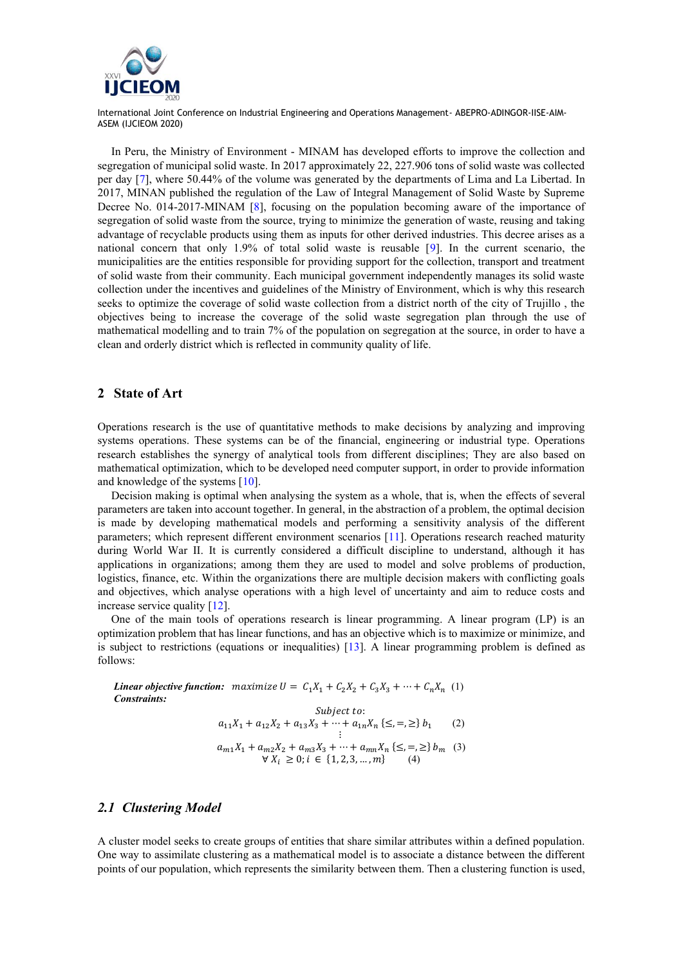

In Peru, the Ministry of Environment - MINAM has developed efforts to improve the collection and segregation of municipal solid waste. In 2017 approximately 22, 227.906 tons of solid waste was collected per day [7], where 50.44% of the volume was generated by the departments of Lima and La Libertad. In 2017, MINAN published the regulation of the Law of Integral Management of Solid Waste by Supreme Decree No. 014-2017-MINAM [8], focusing on the population becoming aware of the importance of segregation of solid waste from the source, trying to minimize the generation of waste, reusing and taking advantage of recyclable products using them as inputs for other derived industries. This decree arises as a national concern that only 1.9% of total solid waste is reusable [9]. In the current scenario, the municipalities are the entities responsible for providing support for the collection, transport and treatment of solid waste from their community. Each municipal government independently manages its solid waste collection under the incentives and guidelines of the Ministry of Environment, which is why this research seeks to optimize the coverage of solid waste collection from a district north of the city of Trujillo , the objectives being to increase the coverage of the solid waste segregation plan through the use of mathematical modelling and to train 7% of the population on segregation at the source, in order to have a clean and orderly district which is reflected in community quality of life.

#### **2 State of Art**

Operations research is the use of quantitative methods to make decisions by analyzing and improving systems operations. These systems can be of the financial, engineering or industrial type. Operations research establishes the synergy of analytical tools from different disciplines; They are also based on mathematical optimization, which to be developed need computer support, in order to provide information and knowledge of the systems [10].

Decision making is optimal when analysing the system as a whole, that is, when the effects of several parameters are taken into account together. In general, in the abstraction of a problem, the optimal decision is made by developing mathematical models and performing a sensitivity analysis of the different parameters; which represent different environment scenarios [11]. Operations research reached maturity during World War II. It is currently considered a difficult discipline to understand, although it has applications in organizations; among them they are used to model and solve problems of production, logistics, finance, etc. Within the organizations there are multiple decision makers with conflicting goals and objectives, which analyse operations with a high level of uncertainty and aim to reduce costs and increase service quality [12].

One of the main tools of operations research is linear programming. A linear program (LP) is an optimization problem that has linear functions, and has an objective which is to maximize or minimize, and is subject to restrictions (equations or inequalities) [13]. A linear programming problem is defined as follows:

*Linear objective function:* maximize  $U = C_1X_1 + C_2X_2 + C_3X_3 + \cdots + C_nX_n$  (1) *Constraints:* Subject to:  $a_{11}X_1 + a_{12}X_2 + a_{13}X_3 + \cdots + a_{1n}X_n \{ \leq, =, \geq \} b_1$  (2) ⋮

$$
a_{m1}X_1 + a_{m2}X_2 + a_{m3}X_3 + \dots + a_{mn}X_n \{ \leq, =, \geq \} b_m \quad (3)
$$
  

$$
\forall X_i \geq 0; i \in \{1, 2, 3, \dots, m\} \quad (4)
$$

#### *2.1 Clustering Model*

A cluster model seeks to create groups of entities that share similar attributes within a defined population. One way to assimilate clustering as a mathematical model is to associate a distance between the different points of our population, which represents the similarity between them. Then a clustering function is used,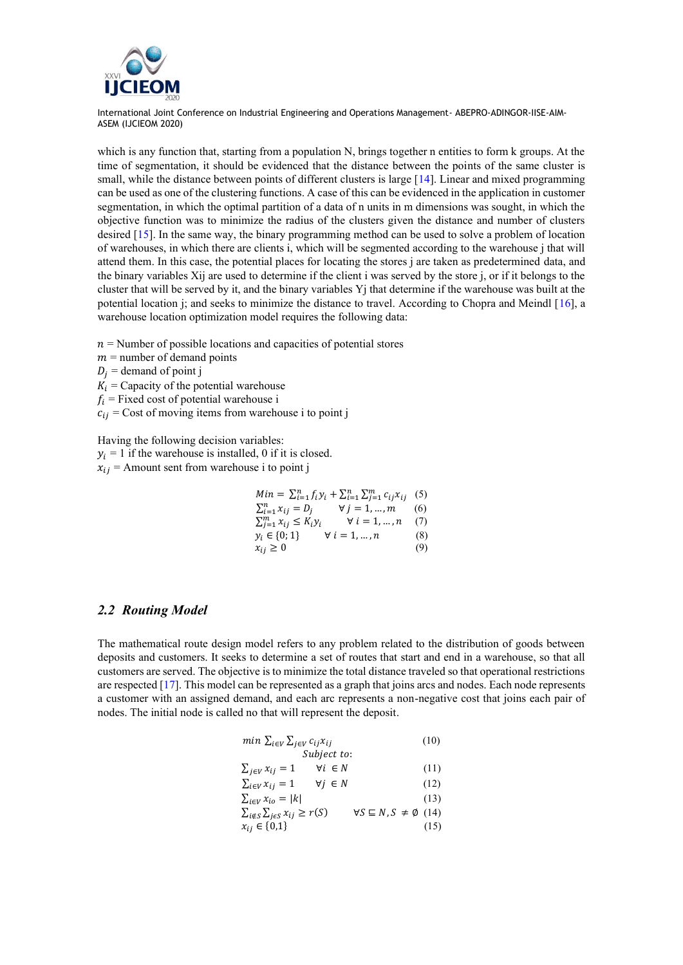

which is any function that, starting from a population N, brings together n entities to form k groups. At the time of segmentation, it should be evidenced that the distance between the points of the same cluster is small, while the distance between points of different clusters is large [14]. Linear and mixed programming can be used as one of the clustering functions. A case of this can be evidenced in the application in customer segmentation, in which the optimal partition of a data of n units in m dimensions was sought, in which the objective function was to minimize the radius of the clusters given the distance and number of clusters desired [15]. In the same way, the binary programming method can be used to solve a problem of location of warehouses, in which there are clients i, which will be segmented according to the warehouse j that will attend them. In this case, the potential places for locating the stores j are taken as predetermined data, and the binary variables Xij are used to determine if the client i was served by the store j, or if it belongs to the cluster that will be served by it, and the binary variables  $Y_i$  that determine if the warehouse was built at the potential location j; and seeks to minimize the distance to travel. According to Chopra and Meindl [16], a warehouse location optimization model requires the following data:

- $n =$  Number of possible locations and capacities of potential stores
- $m =$  number of demand points
- $D_i$  = demand of point j
- $K_i$  = Capacity of the potential warehouse
- $f_i$  = Fixed cost of potential warehouse i
- $c_{ij}$  = Cost of moving items from warehouse i to point j

Having the following decision variables:

- $y_i = 1$  if the warehouse is installed, 0 if it is closed.
- $x_{ii}$  = Amount sent from warehouse i to point j

| $Min = \sum_{i=1}^{n} f_i y_i + \sum_{i=1}^{n} \sum_{j=1}^{m} c_{ij} x_{ij}$ (5) |     |
|----------------------------------------------------------------------------------|-----|
| $\sum_{i=1}^n x_{ij} = D_j$<br>$\forall j = 1, , m$                              | (6) |
| $\sum_{i=1}^{m} x_{ij} \leq K_i y_i$<br>$\forall i=1,,n$                         | (7) |
| $y_i \in \{0, 1\}$<br>$\forall i=1,,n$                                           | (8) |
| $x_{ij} \geq 0$                                                                  | (9) |

#### *2.2 Routing Model*

The mathematical route design model refers to any problem related to the distribution of goods between deposits and customers. It seeks to determine a set of routes that start and end in a warehouse, so that all customers are served. The objective is to minimize the total distance traveled so that operational restrictions are respected [17]. This model can be represented as a graph that joins arcs and nodes. Each node represents a customer with an assigned demand, and each arc represents a non-negative cost that joins each pair of nodes. The initial node is called no that will represent the deposit.

| $min \sum_{i \in V} \sum_{j \in V} c_{ij} x_{ij}$                                                     | (10) |
|-------------------------------------------------------------------------------------------------------|------|
| Subject to:                                                                                           |      |
| $\forall i \in N$<br>$\sum_{i\in V} x_{ij} = 1$                                                       | (11) |
| $\forall j \in N$<br>$\sum_{i\in V} x_{ij} = 1$                                                       | (12) |
| $\sum_{i\in V} x_{io} =  k $                                                                          | (13) |
| $\forall S \subseteq N, S \neq \emptyset$ (14)<br>$\sum_{i \notin S} \sum_{j \in S} x_{ij} \geq r(S)$ |      |
| $x_{ij} \in \{0,1\}$                                                                                  | (15) |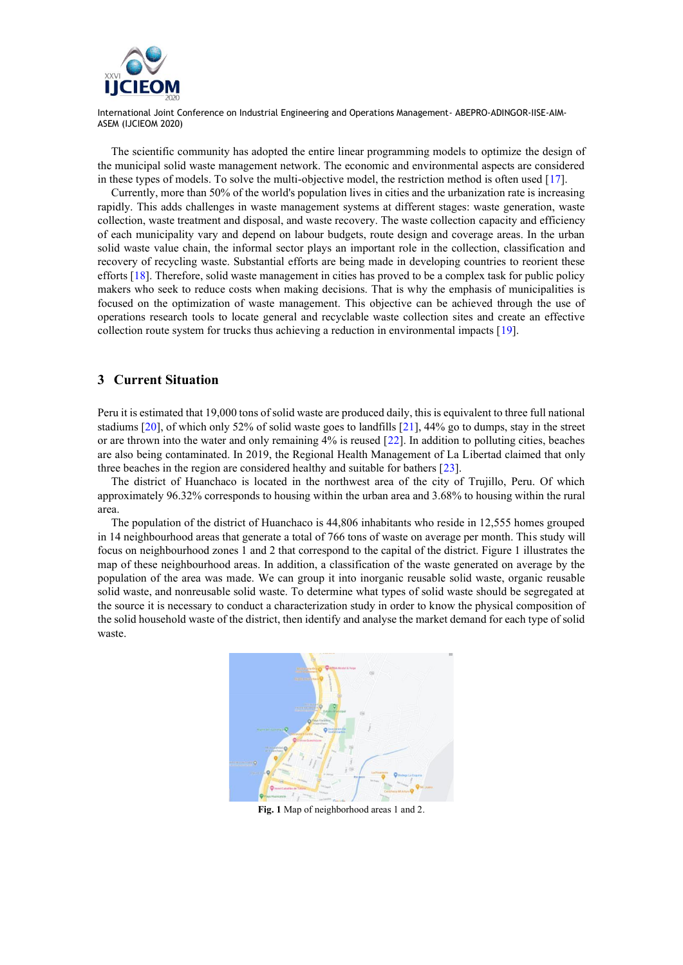

The scientific community has adopted the entire linear programming models to optimize the design of the municipal solid waste management network. The economic and environmental aspects are considered in these types of models. To solve the multi-objective model, the restriction method is often used [17].

Currently, more than 50% of the world's population lives in cities and the urbanization rate is increasing rapidly. This adds challenges in waste management systems at different stages: waste generation, waste collection, waste treatment and disposal, and waste recovery. The waste collection capacity and efficiency of each municipality vary and depend on labour budgets, route design and coverage areas. In the urban solid waste value chain, the informal sector plays an important role in the collection, classification and recovery of recycling waste. Substantial efforts are being made in developing countries to reorient these efforts [18]. Therefore, solid waste management in cities has proved to be a complex task for public policy makers who seek to reduce costs when making decisions. That is why the emphasis of municipalities is focused on the optimization of waste management. This objective can be achieved through the use of operations research tools to locate general and recyclable waste collection sites and create an effective collection route system for trucks thus achieving a reduction in environmental impacts [19].

#### **3 Current Situation**

Peru it is estimated that 19,000 tons of solid waste are produced daily, this is equivalent to three full national stadiums [20], of which only 52% of solid waste goes to landfills [21], 44% go to dumps, stay in the street or are thrown into the water and only remaining 4% is reused [22]. In addition to polluting cities, beaches are also being contaminated. In 2019, the Regional Health Management of La Libertad claimed that only three beaches in the region are considered healthy and suitable for bathers [23].

The district of Huanchaco is located in the northwest area of the city of Trujillo, Peru. Of which approximately 96.32% corresponds to housing within the urban area and 3.68% to housing within the rural area.

The population of the district of Huanchaco is 44,806 inhabitants who reside in 12,555 homes grouped in 14 neighbourhood areas that generate a total of 766 tons of waste on average per month. This study will focus on neighbourhood zones 1 and 2 that correspond to the capital of the district. Figure 1 illustrates the map of these neighbourhood areas. In addition, a classification of the waste generated on average by the population of the area was made. We can group it into inorganic reusable solid waste, organic reusable solid waste, and nonreusable solid waste. To determine what types of solid waste should be segregated at the source it is necessary to conduct a characterization study in order to know the physical composition of the solid household waste of the district, then identify and analyse the market demand for each type of solid waste.



**Fig. 1** Map of neighborhood areas 1 and 2.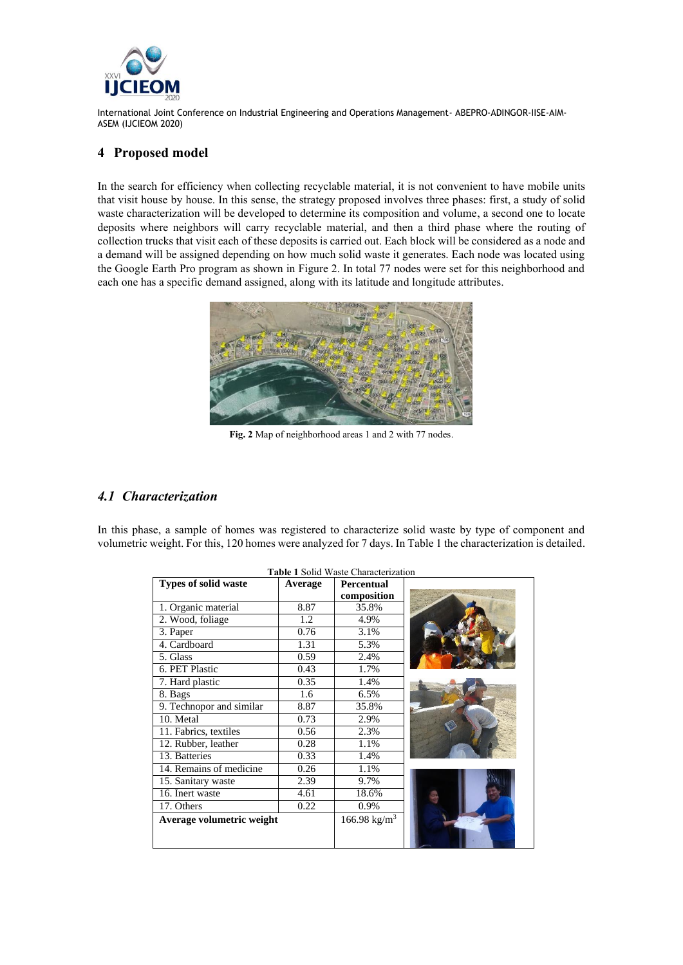

### **4 Proposed model**

In the search for efficiency when collecting recyclable material, it is not convenient to have mobile units that visit house by house. In this sense, the strategy proposed involves three phases: first, a study of solid waste characterization will be developed to determine its composition and volume, a second one to locate deposits where neighbors will carry recyclable material, and then a third phase where the routing of collection trucks that visit each of these deposits is carried out. Each block will be considered as a node and a demand will be assigned depending on how much solid waste it generates. Each node was located using the Google Earth Pro program as shown in Figure 2. In total 77 nodes were set for this neighborhood and each one has a specific demand assigned, along with its latitude and longitude attributes.



**Fig. 2** Map of neighborhood areas 1 and 2 with 77 nodes.

## *4.1 Characterization*

In this phase, a sample of homes was registered to characterize solid waste by type of component and volumetric weight. For this, 120 homes were analyzed for 7 days. In Table 1 the characterization is detailed.

| <b>Table 1 Solid Waste Characterization</b> |         |                          |  |  |
|---------------------------------------------|---------|--------------------------|--|--|
| <b>Types of solid waste</b>                 | Average | Percentual               |  |  |
|                                             |         | composition              |  |  |
| 1. Organic material                         | 8.87    | 35.8%                    |  |  |
| 2. Wood, foliage                            | 1.2     | 4.9%                     |  |  |
| 3. Paper                                    | 0.76    | 3.1%                     |  |  |
| 4. Cardboard                                | 1.31    | 5.3%                     |  |  |
| 5. Glass                                    | 0.59    | 2.4%                     |  |  |
| 6. PET Plastic                              | 0.43    | 1.7%                     |  |  |
| 7. Hard plastic                             | 0.35    | 1.4%                     |  |  |
| 8. Bags                                     | 1.6     | 6.5%                     |  |  |
| 9. Technopor and similar                    | 8.87    | 35.8%                    |  |  |
| 10. Metal                                   | 0.73    | 2.9%                     |  |  |
| 11. Fabrics, textiles                       | 0.56    | 2.3%                     |  |  |
| 12. Rubber, leather                         | 0.28    | 1.1%                     |  |  |
| 13. Batteries                               | 0.33    | 1.4%                     |  |  |
| 14. Remains of medicine                     | 0.26    | 1.1%                     |  |  |
| 15. Sanitary waste                          | 2.39    | 9.7%                     |  |  |
| 16. Inert waste                             | 4.61    | 18.6%                    |  |  |
| 17. Others                                  | 0.22    | 0.9%                     |  |  |
| Average volumetric weight                   |         | 166.98 kg/m <sup>3</sup> |  |  |
|                                             |         |                          |  |  |
|                                             |         |                          |  |  |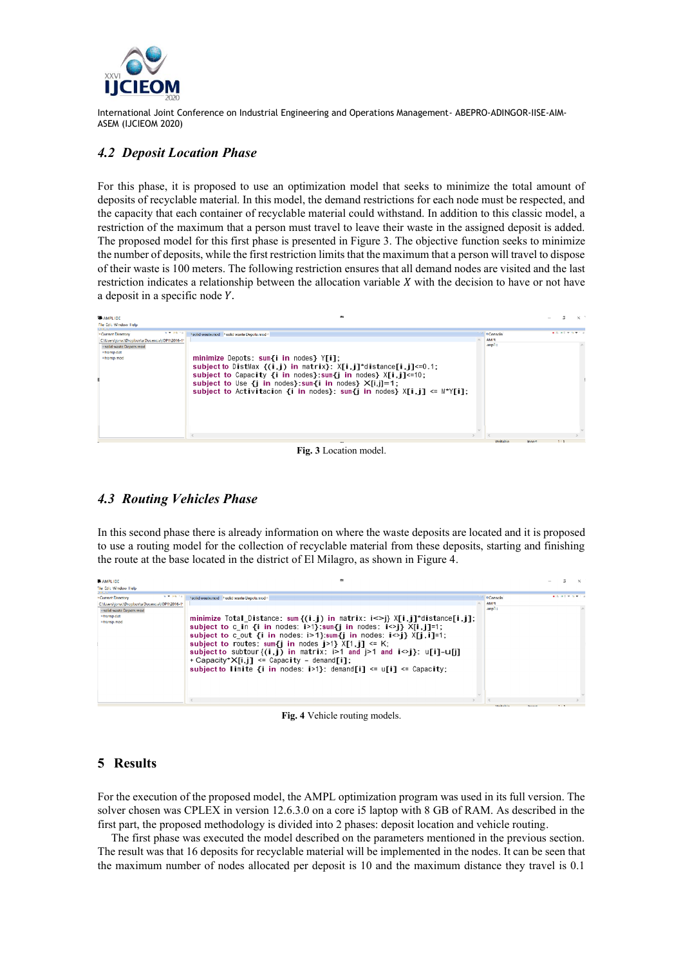

## *4.2 Deposit Location Phase*

For this phase, it is proposed to use an optimization model that seeks to minimize the total amount of deposits of recyclable material. In this model, the demand restrictions for each node must be respected, and the capacity that each container of recyclable material could withstand. In addition to this classic model, a restriction of the maximum that a person must travel to leave their waste in the assigned deposit is added. The proposed model for this first phase is presented in Figure 3. The objective function seeks to minimize the number of deposits, while the first restriction limits that the maximum that a person will travel to dispose of their waste is 100 meters. The following restriction ensures that all demand nodes are visited and the last restriction indicates a relationship between the allocation variable  $X$  with the decision to have or not have a deposit in a specific node  $Y$ .

| <b>BE AMPLIDE</b>                                                                                       | <b>COL</b>                                                                                                                                                                                                                                                                                                                                                                                               |                 |       |                         |  |
|---------------------------------------------------------------------------------------------------------|----------------------------------------------------------------------------------------------------------------------------------------------------------------------------------------------------------------------------------------------------------------------------------------------------------------------------------------------------------------------------------------------------------|-----------------|-------|-------------------------|--|
| File Edit Window Help                                                                                   |                                                                                                                                                                                                                                                                                                                                                                                                          |                 |       |                         |  |
| <b>A # 36 10</b><br>* Current Directory                                                                 | aolid waste.mod   aolid waste Depots.mod <                                                                                                                                                                                                                                                                                                                                                               | <b>OConsolo</b> |       | <b>ALC AC VIOLATION</b> |  |
| CAUsers\jonal\Dropbox\a Docencia\JOP1\2016-1*<br>· solid waste Depats mod<br>*transp.dat<br>#transp.mod | minimize Depots: sum{i in nodes} Y[i];<br>subject to DistMax $\{(i, j)$ in matrix}: $X[i, j]^*$ distance $[i, j] < 0.1$ ;<br>subject to Capacity $\{i \text{ in nodes}\}\$ sum $\{j \text{ in nodes}\}$ $X[i,j] \leq 10$ ;<br>subject to Use $\{i \text{ in nodes}\}\$ sum $\{i \text{ in nodes}\}\$ $X[i,j]=1$ ;<br>subject to Activitacion {i in nodes}: sum{j in nodes} $X[i, j] \leq M^{\gamma}[i];$ | AM N<br>amp1:   |       |                         |  |
|                                                                                                         |                                                                                                                                                                                                                                                                                                                                                                                                          |                 |       |                         |  |
|                                                                                                         |                                                                                                                                                                                                                                                                                                                                                                                                          |                 |       |                         |  |
|                                                                                                         | $\sim$<br>--                                                                                                                                                                                                                                                                                                                                                                                             | Writable        | Inter |                         |  |

#### **Fig. 3** Location model.

## *4.3 Routing Vehicles Phase*

In this second phase there is already information on where the waste deposits are located and it is proposed to use a routing model for the collection of recyclable material from these deposits, starting and finishing the route at the base located in the district of El Milagro, as shown in Figure 4.

| AMPLIDE                                                                                                                                       | <b>EN</b>                                                                                                                                                                                                                                                                                                                                                                                                                                                                                                                                                                                                         |                                   |                          |  |
|-----------------------------------------------------------------------------------------------------------------------------------------------|-------------------------------------------------------------------------------------------------------------------------------------------------------------------------------------------------------------------------------------------------------------------------------------------------------------------------------------------------------------------------------------------------------------------------------------------------------------------------------------------------------------------------------------------------------------------------------------------------------------------|-----------------------------------|--------------------------|--|
| File Edit Window Help                                                                                                                         |                                                                                                                                                                                                                                                                                                                                                                                                                                                                                                                                                                                                                   |                                   |                          |  |
| N.W. A.G. Ford<br>*Current Directory<br>CAUsers\jona\\Dropbox\a Docencia\JOP1\2016-1*<br>solid waste Depats.mod<br>#transp.dat<br>*transp.mod | Naciid waste.mod   Naciid waste Depots.mod <<br>minimize Total Distance: sum $\{(i, j)$ in matrix: $i \leq j$ $\{j, j\}$ distance $[i, j]$ ;<br>subject to c in {i in nodes: $i > 1$ }:sum{j in nodes: $i < j$ } $X[i, j] = 1$ ;<br>subject to c out {i in nodes: $i>1$ }:sum{j in nodes: $i>j$ } X[j, i]=1;<br>subject to routes: sum{i in nodes $i>1$ } $X[i, i]$ <= K;<br>subject to subtour $\{i, j\}$ in matrix: $i>1$ and $j>1$ and $i>j$ : $u[i]-u[i]$<br>+ Capacity* $X[i, i]$ <= Capacity - demand $[i]$ ;<br>subject to limite $\{i \text{ in nodes} : i > 1\}$ : demand $[i] \leq u[i] \leq$ Capacity; | <b>OConsole</b><br>AM !!<br>amp1: | <b>ALC: NO 9 19 9 11</b> |  |
|                                                                                                                                               |                                                                                                                                                                                                                                                                                                                                                                                                                                                                                                                                                                                                                   |                                   |                          |  |

**Fig. 4** Vehicle routing models.

#### **5 Results**

For the execution of the proposed model, the AMPL optimization program was used in its full version. The solver chosen was CPLEX in version 12.6.3.0 on a core i5 laptop with 8 GB of RAM. As described in the first part, the proposed methodology is divided into 2 phases: deposit location and vehicle routing.

The first phase was executed the model described on the parameters mentioned in the previous section. The result was that 16 deposits for recyclable material will be implemented in the nodes. It can be seen that the maximum number of nodes allocated per deposit is 10 and the maximum distance they travel is 0.1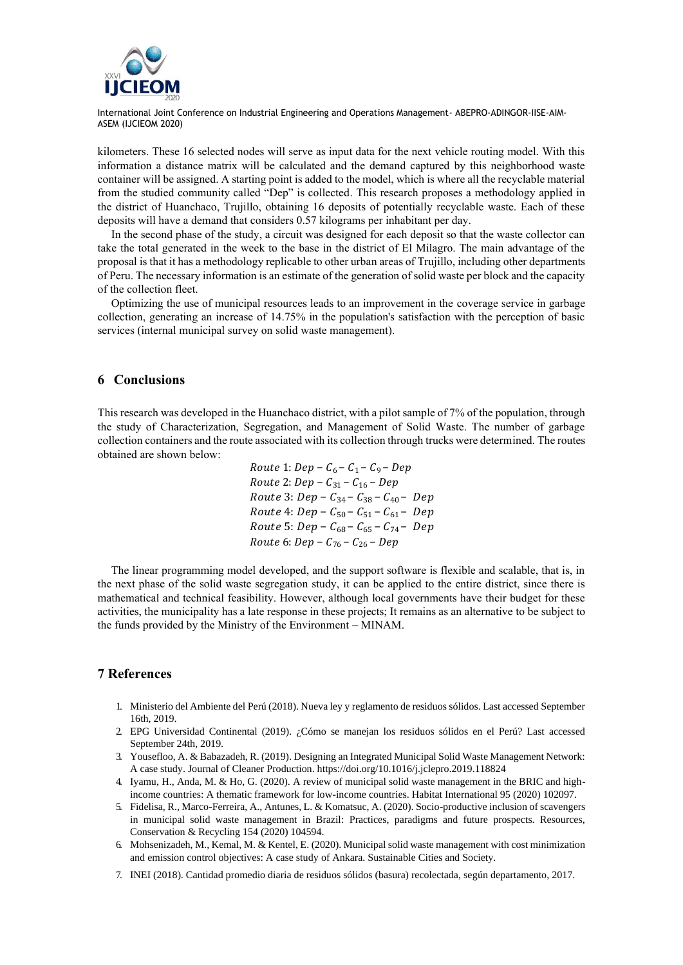

kilometers. These 16 selected nodes will serve as input data for the next vehicle routing model. With this information a distance matrix will be calculated and the demand captured by this neighborhood waste container will be assigned. A starting point is added to the model, which is where all the recyclable material from the studied community called "Dep" is collected. This research proposes a methodology applied in the district of Huanchaco, Trujillo, obtaining 16 deposits of potentially recyclable waste. Each of these deposits will have a demand that considers 0.57 kilograms per inhabitant per day.

In the second phase of the study, a circuit was designed for each deposit so that the waste collector can take the total generated in the week to the base in the district of El Milagro. The main advantage of the proposal is that it has a methodology replicable to other urban areas of Trujillo, including other departments of Peru. The necessary information is an estimate of the generation of solid waste per block and the capacity of the collection fleet.

Optimizing the use of municipal resources leads to an improvement in the coverage service in garbage collection, generating an increase of 14.75% in the population's satisfaction with the perception of basic services (internal municipal survey on solid waste management).

#### **6 Conclusions**

This research was developed in the Huanchaco district, with a pilot sample of 7% of the population, through the study of Characterization, Segregation, and Management of Solid Waste. The number of garbage collection containers and the route associated with its collection through trucks were determined. The routes obtained are shown below:

> $Route 1: Dep - C_6 - C_1 - C_9 - Dep$  $Route 2: Dep - C_{31} - C_{16} - Dep$  $Route 3: Dep - C_{34} - C_{38} - C_{40} - Dep$  $Route 4: Dep - C_{50} - C_{51} - C_{61} - Dep$  $Route 5: Dep - C_{68} - C_{65} - C_{74} - Dep$ Route 6:  $Dep - C_{76} - C_{26} - Dep$

The linear programming model developed, and the support software is flexible and scalable, that is, in the next phase of the solid waste segregation study, it can be applied to the entire district, since there is mathematical and technical feasibility. However, although local governments have their budget for these activities, the municipality has a late response in these projects; It remains as an alternative to be subject to the funds provided by the Ministry of the Environment – MINAM.

#### **7 References**

- 1. Ministerio del Ambiente del Perú (2018). Nueva ley y reglamento de residuos sólidos. Last accessed September 16th, 2019.
- 2. EPG Universidad Continental (2019). ¿Cómo se manejan los residuos sólidos en el Perú? Last accessed September 24th, 2019.
- 3. Yousefloo, A. & Babazadeh, R. (2019). Designing an Integrated Municipal Solid Waste Management Network: A case study. Journal of Cleaner Production. https://doi.org/10.1016/j.jclepro.2019.118824
- 4. Iyamu, H., Anda, M. & Ho, G. (2020). A review of municipal solid waste management in the BRIC and highincome countries: A thematic framework for low-income countries. Habitat International 95 (2020) 102097.
- 5. Fidelisa, R., Marco-Ferreira, A., Antunes, L. & Komatsuc, A. (2020). Socio-productive inclusion of scavengers in municipal solid waste management in Brazil: Practices, paradigms and future prospects. Resources, Conservation & Recycling 154 (2020) 104594.
- 6. Mohsenizadeh, M., Kemal, M. & Kentel, E. (2020). Municipal solid waste management with cost minimization and emission control objectives: A case study of Ankara. Sustainable Cities and Society.
- 7. INEI (2018). Cantidad promedio diaria de residuos sólidos (basura) recolectada, según departamento, 2017.